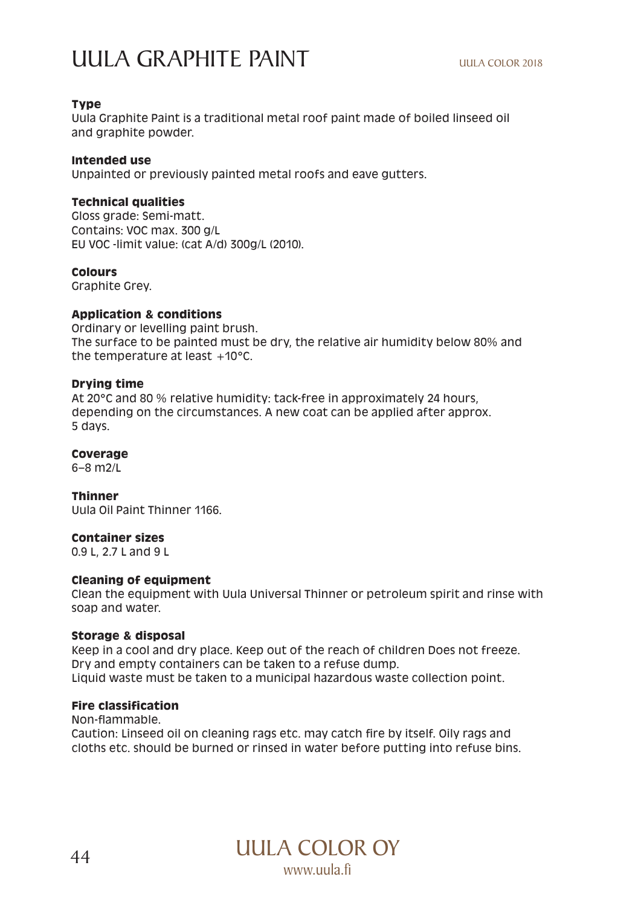# UULA GRAPHITE PAINT

# **Type**

Uula Graphite Paint is a traditional metal roof paint made of boiled linseed oil and graphite powder.

# **Intended use**

Unpainted or previously painted metal roofs and eave gutters.

# **Technical qualities**

Gloss grade: Semi-matt. Contains: VOC max. 300 g/L EU VOC -limit value: (cat A/d) 300g/L (2010).

# **Colours**

Graphite Grey.

# **Application & conditions**

Ordinary or levelling paint brush. The surface to be painted must be dry, the relative air humidity below 80% and the temperature at least  $+10^{\circ}$ C.

# **Drying time**

At 20°C and 80 % relative humidity: tack-free in approximately 24 hours, depending on the circumstances. A new coat can be applied after approx. 5 days.

# **Coverage**

6–8 m2/L

#### **Thinner**

Uula Oil Paint Thinner 1166.

#### **Container sizes**

0.9 L, 2.7 L and 9 L

# **Cleaning of equipment**

Clean the equipment with Uula Universal Thinner or petroleum spirit and rinse with soap and water.

#### **Storage & disposal**

Keep in a cool and dry place. Keep out of the reach of children Does not freeze. Dry and empty containers can be taken to a refuse dump. Liquid waste must be taken to a municipal hazardous waste collection point.

# **Fire classification**

Non-flammable. Caution: Linseed oil on cleaning rags etc. may catch fire by itself. Oily rags and cloths etc. should be burned or rinsed in water before putting into refuse bins.